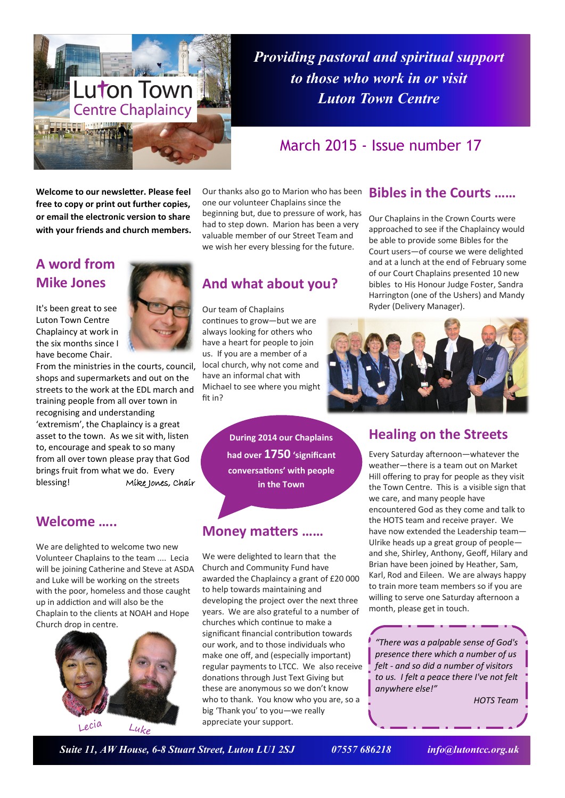

*Providing pastoral and spiritual support to those who work in or visit Luton Town Centre*

# March 2015 - Issue number 17

**Welcome to our newsletter. Please feel free to copy or print out further copies, or email the electronic version to share with your friends and church members.**

# **A word from Mike Jones**

It's been great to see Luton Town Centre Chaplaincy at work in the six months since I have become Chair.



From the ministries in the courts, council, shops and supermarkets and out on the streets to the work at the EDL march and training people from all over town in recognising and understanding 'extremism', the Chaplaincy is a great asset to the town. As we sit with, listen to, encourage and speak to so many from all over town please pray that God brings fruit from what we do. Every blessing! Mike Jones, Chair

#### **Welcome …..**

We are delighted to welcome two new Volunteer Chaplains to the team .... Lecia will be joining Catherine and Steve at ASDA and Luke will be working on the streets with the poor, homeless and those caught up in addiction and will also be the Chaplain to the clients at NOAH and Hope Church drop in centre.



Our thanks also go to Marion who has been one our volunteer Chaplains since the beginning but, due to pressure of work, has had to step down. Marion has been a very valuable member of our Street Team and we wish her every blessing for the future.

# **And what about you?**

Our team of Chaplains continues to grow—but we are always looking for others who have a heart for people to join us. If you are a member of a local church, why not come and have an informal chat with Michael to see where you might fit in?

> **During 2014 our Chaplains had over 1750 'significant conversations' with people in the Town**

## **Money matters ……**

We were delighted to learn that the Church and Community Fund have awarded the Chaplaincy a grant of £20 000 to help towards maintaining and developing the project over the next three years. We are also grateful to a number of churches which continue to make a significant financial contribution towards our work, and to those individuals who make one off, and (especially important) regular payments to LTCC. We also receive donations through Just Text Giving but these are anonymous so we don't know who to thank. You know who you are, so a big 'Thank you' to you—we really appreciate your support.

### **Bibles in the Courts ……**

Our Chaplains in the Crown Courts were approached to see if the Chaplaincy would be able to provide some Bibles for the Court users—of course we were delighted and at a lunch at the end of February some of our Court Chaplains presented 10 new bibles to His Honour Judge Foster, Sandra Harrington (one of the Ushers) and Mandy Ryder (Delivery Manager).



#### **Healing on the Streets**

Every Saturday afternoon—whatever the weather—there is a team out on Market Hill offering to pray for people as they visit the Town Centre. This is a visible sign that we care, and many people have encountered God as they come and talk to the HOTS team and receive prayer. We have now extended the Leadership team— Ulrike heads up a great group of people and she, Shirley, Anthony, Geoff, Hilary and Brian have been joined by Heather, Sam, Karl, Rod and Eileen. We are always happy to train more team members so if you are willing to serve one Saturday afternoon a month, please get in touch.

*"There was a palpable sense of God's presence there which a number of us felt - and so did a number of visitors to us. I felt a peace there I've not felt anywhere else!"*

*HOTS Team*

 *Suite 11, AW House, 6-8 Stuart Street, Luton LU1 2SJ 07557 686218 info@lutontcc.org.uk*